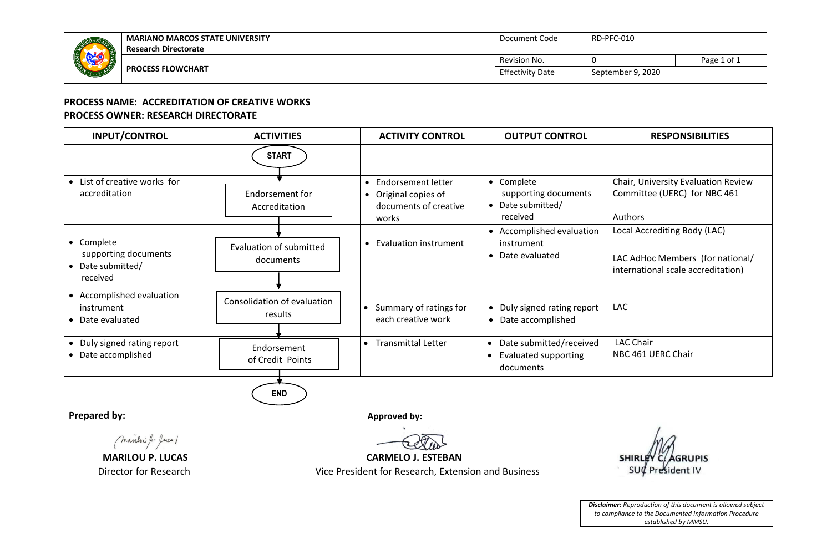

## **PROCESS NAME: ACCREDITATION OF CREATIVE WORKS PROCESS OWNER: RESEARCH DIRECTORATE**

| <b>INPUT/CONTROL</b>                                              | <b>ACTIVITIES</b>                      | <b>ACTIVITY CONTROL</b>                                                        | <b>OUTPUT CONTROL</b>                                               | <b>RESPONSIBILITIES</b>                                                                                |
|-------------------------------------------------------------------|----------------------------------------|--------------------------------------------------------------------------------|---------------------------------------------------------------------|--------------------------------------------------------------------------------------------------------|
|                                                                   | <b>START</b>                           |                                                                                |                                                                     |                                                                                                        |
| • List of creative works for<br>accreditation                     | Endorsement for<br>Accreditation       | • Endorsement letter<br>• Original copies of<br>documents of creative<br>works | • Complete<br>supporting documents<br>• Date submitted/<br>received | Chair, University Evaluation Review<br>Committee (UERC) for NBC 461<br><b>Authors</b>                  |
| • Complete<br>supporting documents<br>Date submitted/<br>received | Evaluation of submitted<br>documents   | • Evaluation instrument                                                        | • Accomplished evaluation<br>instrument<br>• Date evaluated         | Local Accrediting Body (LAC)<br>LAC AdHoc Members (for national/<br>international scale accreditation) |
| • Accomplished evaluation<br>instrument<br>• Date evaluated       | Consolidation of evaluation<br>results | Summary of ratings for<br>each creative work                                   | • Duly signed rating report<br>Date accomplished<br>$\bullet$       | <b>LAC</b>                                                                                             |
| • Duly signed rating report<br>• Date accomplished                | Endorsement<br>of Credit Points        | • Transmittal Letter                                                           | • Date submitted/received<br>Evaluated supporting<br>documents      | <b>LAC Chair</b><br>NBC 461 UERC Chair                                                                 |

**Prepared by: Approved by: Approved by: Approved by: Approved by: Approved by: Approved by: Approved by: Approved by: Approved by: Approved by: Approved by: Approved by: Approved by: Approved by** 

(marilor J. Juca)

**END**



**MARILOU P. LUCAS CARMELO J. ESTEBAN** 

Director for Research Vice President for Research, Extension and Business

**RUPIS SHI** esident IV

*Disclaimer: Reproduction of this document is allowed subject to compliance to the Documented Information Procedure established by MMSU.*